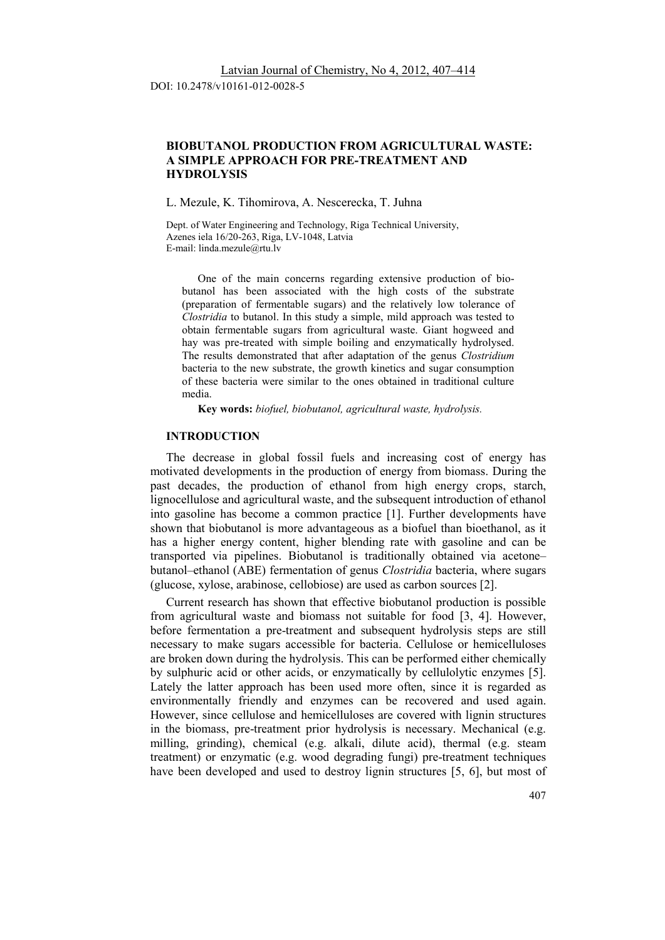# **BIOBUTANOL PRODUCTION FROM AGRICULTURAL WASTE: A SIMPLE APPROACH FOR PRE-TREATMENT AND HYDROLYSIS**

L. Mezule, K. Tihomirova, A. Nescerecka, T. Juhna

Dept. of Water Engineering and Technology, Riga Technical University, Azenes iela 16/20-263, Riga, LV-1048, Latvia E-mail: [linda.mezule@rtu.lv](mailto:linda.mezule@rtu.lv)

One of the main concerns regarding extensive production of biobutanol has been associated with the high costs of the substrate (preparation of fermentable sugars) and the relatively low tolerance of *Clostridia* to butanol. In this study a simple, mild approach was tested to obtain fermentable sugars from agricultural waste. Giant hogweed and hay was pre-treated with simple boiling and enzymatically hydrolysed. The results demonstrated that after adaptation of the genus *Clostridium* bacteria to the new substrate, the growth kinetics and sugar consumption of these bacteria were similar to the ones obtained in traditional culture media.

**Key words:** *biofuel, biobutanol, agricultural waste, hydrolysis.*

# **INTRODUCTION**

The decrease in global fossil fuels and increasing cost of energy has motivated developments in the production of energy from biomass. During the past decades, the production of ethanol from high energy crops, starch, lignocellulose and agricultural waste, and the subsequent introduction of ethanol into gasoline has become a common practice [1]. Further developments have shown that biobutanol is more advantageous as a biofuel than bioethanol, as it has a higher energy content, higher blending rate with gasoline and can be transported via pipelines. Biobutanol is traditionally obtained via acetone– butanol–ethanol (ABE) fermentation of genus *Clostridia* bacteria, where sugars (glucose, xylose, arabinose, cellobiose) are used as carbon sources [2].

Current research has shown that effective biobutanol production is possible from agricultural waste and biomass not suitable for food [3, 4]. However, before fermentation a pre-treatment and subsequent hydrolysis steps are still necessary to make sugars accessible for bacteria. Cellulose or hemicelluloses are broken down during the hydrolysis. This can be performed either chemically by sulphuric acid or other acids, or enzymatically by cellulolytic enzymes [5]. Lately the latter approach has been used more often, since it is regarded as environmentally friendly and enzymes can be recovered and used again. However, since cellulose and hemicelluloses are covered with lignin structures in the biomass, pre-treatment prior hydrolysis is necessary. Mechanical (e.g. milling, grinding), chemical (e.g. alkali, dilute acid), thermal (e.g. steam treatment) or enzymatic (e.g. wood degrading fungi) pre-treatment techniques have been developed and used to destroy lignin structures [5, 6], but most of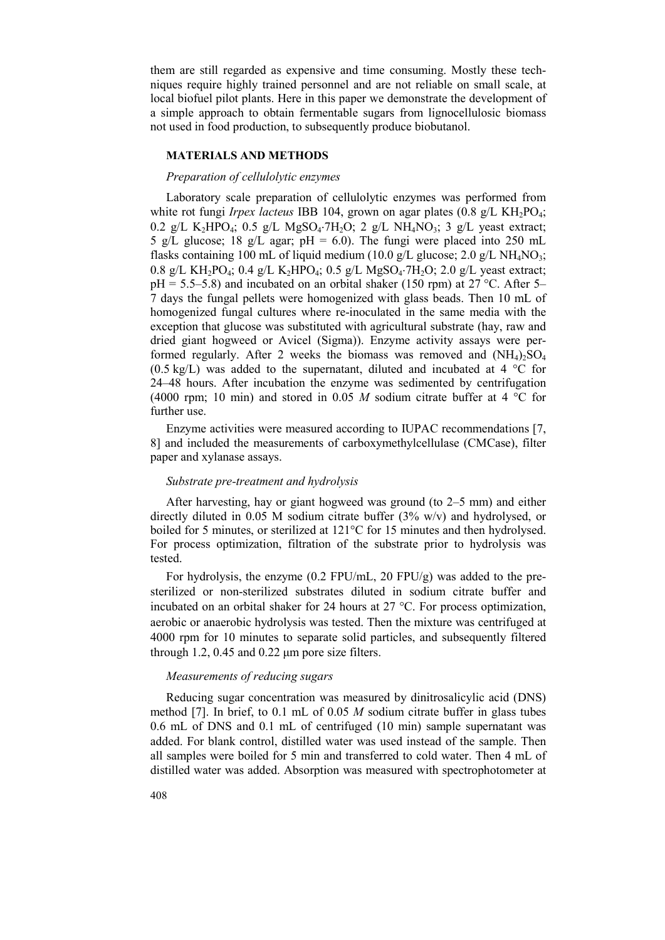them are still regarded as expensive and time consuming. Mostly these techniques require highly trained personnel and are not reliable on small scale, at local biofuel pilot plants. Here in this paper we demonstrate the development of a simple approach to obtain fermentable sugars from lignocellulosic biomass not used in food production, to subsequently produce biobutanol.

# **MATERIALS AND METHODS**

# *Preparation of cellulolytic enzymes*

Laboratory scale preparation of cellulolytic enzymes was performed from white rot fungi *Irpex lacteus* IBB 104, grown on agar plates (0.8 g/L KH<sub>2</sub>PO<sub>4</sub>; 0.2 g/L K<sub>2</sub>HPO<sub>4</sub>; 0.5 g/L MgSO<sub>4</sub>⋅7H<sub>2</sub>O; 2 g/L NH<sub>4</sub>NO<sub>3</sub>; 3 g/L yeast extract; 5 g/L glucose; 18 g/L agar;  $pH = 6.0$ ). The fungi were placed into 250 mL flasks containing 100 mL of liquid medium (10.0 g/L glucose; 2.0 g/L NH<sub>4</sub>NO<sub>3</sub>; 0.8 g/L KH<sub>2</sub>PO<sub>4</sub>; 0.4 g/L K<sub>2</sub>HPO<sub>4</sub>; 0.5 g/L MgSO<sub>4</sub>⋅7H<sub>2</sub>O; 2.0 g/L yeast extract;  $pH = 5.5$ –5.8) and incubated on an orbital shaker (150 rpm) at 27 °C. After 5– 7 days the fungal pellets were homogenized with glass beads. Then 10 mL of homogenized fungal cultures where re-inoculated in the same media with the exception that glucose was substituted with agricultural substrate (hay, raw and dried giant hogweed or Avicel (Sigma)). Enzyme activity assays were performed regularly. After 2 weeks the biomass was removed and  $(NH_4)_2SO_4$  $(0.5 \text{ kg/L})$  was added to the supernatant, diluted and incubated at 4 °C for 24–48 hours. After incubation the enzyme was sedimented by centrifugation (4000 rpm; 10 min) and stored in 0.05 *M* sodium citrate buffer at 4 °C for further use.

Enzyme activities were measured according to IUPAC recommendations [7, 8] and included the measurements of carboxymethylcellulase (CMCase), filter paper and xylanase assays.

# *Substrate pre-treatment and hydrolysis*

After harvesting, hay or giant hogweed was ground (to 2–5 mm) and either directly diluted in 0.05 M sodium citrate buffer (3% w/v) and hydrolysed, or boiled for 5 minutes, or sterilized at 121°C for 15 minutes and then hydrolysed. For process optimization, filtration of the substrate prior to hydrolysis was tested.

For hydrolysis, the enzyme (0.2 FPU/mL, 20 FPU/g) was added to the presterilized or non-sterilized substrates diluted in sodium citrate buffer and incubated on an orbital shaker for 24 hours at 27 °C. For process optimization, aerobic or anaerobic hydrolysis was tested. Then the mixture was centrifuged at 4000 rpm for 10 minutes to separate solid particles, and subsequently filtered through 1.2, 0.45 and 0.22 μm pore size filters.

# *Measurements of reducing sugars*

Reducing sugar concentration was measured by dinitrosalicylic acid (DNS) method [7]. In brief, to 0.1 mL of 0.05 *M* sodium citrate buffer in glass tubes 0.6 mL of DNS and 0.1 mL of centrifuged (10 min) sample supernatant was added. For blank control, distilled water was used instead of the sample. Then all samples were boiled for 5 min and transferred to cold water. Then 4 mL of distilled water was added. Absorption was measured with spectrophotometer at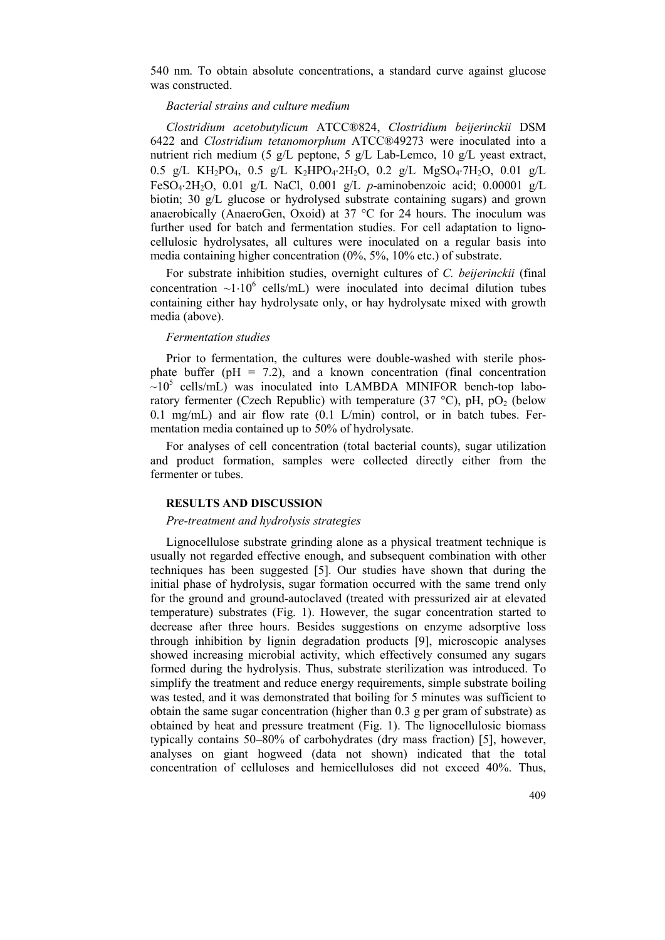540 nm. To obtain absolute concentrations, a standard curve against glucose was constructed.

### *Bacterial strains and culture medium*

*Clostridium acetobutylicum* ATCC®824, *Clostridium beijerinckii* DSM 6422 and *Clostridium tetanomorphum* ATCC®49273 were inoculated into a nutrient rich medium (5 g/L peptone, 5 g/L Lab-Lemco, 10 g/L yeast extract, 0.5 g/L KH2PO4, 0.5 g/L K2HPO4⋅2H2O, 0.2 g/L MgSO4⋅7H2O, 0.01 g/L FeSO4⋅2H2O, 0.01 g/L NaCl, 0.001 g/L *p*-aminobenzoic acid; 0.00001 g/L biotin; 30 g/L glucose or hydrolysed substrate containing sugars) and grown anaerobically (AnaeroGen, Oxoid) at 37 °C for 24 hours. The inoculum was further used for batch and fermentation studies. For cell adaptation to lignocellulosic hydrolysates, all cultures were inoculated on a regular basis into media containing higher concentration (0%, 5%, 10% etc.) of substrate.

For substrate inhibition studies, overnight cultures of *C. beijerinckii* (final concentration  $\sim 1.10^6$  cells/mL) were inoculated into decimal dilution tubes containing either hay hydrolysate only, or hay hydrolysate mixed with growth media (above).

### *Fermentation studies*

Prior to fermentation, the cultures were double-washed with sterile phosphate buffer ( $pH = 7.2$ ), and a known concentration (final concentration  $\sim 10^5$  cells/mL) was inoculated into LAMBDA MINIFOR bench-top laboratory fermenter (Czech Republic) with temperature (37 °C), pH,  $pO_2$  (below 0.1 mg/mL) and air flow rate (0.1 L/min) control, or in batch tubes. Fermentation media contained up to 50% of hydrolysate.

For analyses of cell concentration (total bacterial counts), sugar utilization and product formation, samples were collected directly either from the fermenter or tubes.

### **RESULTS AND DISCUSSION**

# *Pre-treatment and hydrolysis strategies*

Lignocellulose substrate grinding alone as a physical treatment technique is usually not regarded effective enough, and subsequent combination with other techniques has been suggested [5]. Our studies have shown that during the initial phase of hydrolysis, sugar formation occurred with the same trend only for the ground and ground-autoclaved (treated with pressurized air at elevated temperature) substrates (Fig. 1). However, the sugar concentration started to decrease after three hours. Besides suggestions on enzyme adsorptive loss through inhibition by lignin degradation products [9], microscopic analyses showed increasing microbial activity, which effectively consumed any sugars formed during the hydrolysis. Thus, substrate sterilization was introduced. To simplify the treatment and reduce energy requirements, simple substrate boiling was tested, and it was demonstrated that boiling for 5 minutes was sufficient to obtain the same sugar concentration (higher than 0.3 g per gram of substrate) as obtained by heat and pressure treatment (Fig. 1). The lignocellulosic biomass typically contains 50–80% of carbohydrates (dry mass fraction) [5], however, analyses on giant hogweed (data not shown) indicated that the total concentration of celluloses and hemicelluloses did not exceed 40%. Thus,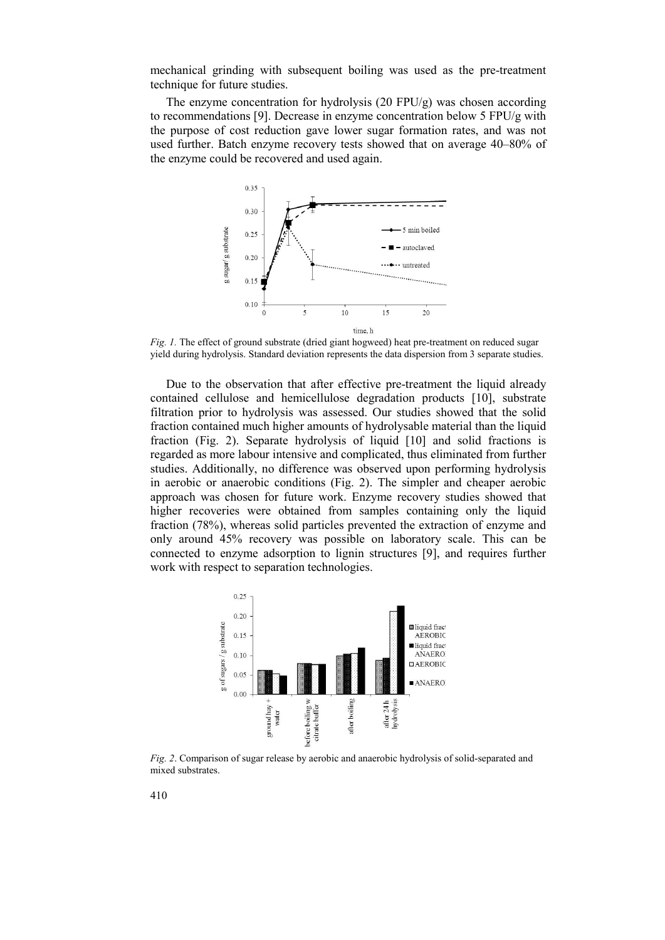mechanical grinding with subsequent boiling was used as the pre-treatment technique for future studies.

The enzyme concentration for hydrolysis (20 FPU/g) was chosen according to recommendations [9]. Decrease in enzyme concentration below 5 FPU/g with the purpose of cost reduction gave lower sugar formation rates, and was not used further. Batch enzyme recovery tests showed that on average 40–80% of the enzyme could be recovered and used again.



*Fig. 1.* The effect of ground substrate (dried giant hogweed) heat pre-treatment on reduced sugar yield during hydrolysis. Standard deviation represents the data dispersion from 3 separate studies.

Due to the observation that after effective pre-treatment the liquid already contained cellulose and hemicellulose degradation products [10], substrate filtration prior to hydrolysis was assessed. Our studies showed that the solid fraction contained much higher amounts of hydrolysable material than the liquid fraction (Fig. 2). Separate hydrolysis of liquid [10] and solid fractions is regarded as more labour intensive and complicated, thus eliminated from further studies. Additionally, no difference was observed upon performing hydrolysis in aerobic or anaerobic conditions (Fig. 2). The simpler and cheaper aerobic approach was chosen for future work. Enzyme recovery studies showed that higher recoveries were obtained from samples containing only the liquid fraction (78%), whereas solid particles prevented the extraction of enzyme and only around 45% recovery was possible on laboratory scale. This can be connected to enzyme adsorption to lignin structures [9], and requires further work with respect to separation technologies.



*Fig. 2*. Comparison of sugar release by aerobic and anaerobic hydrolysis of solid-separated and mixed substrates.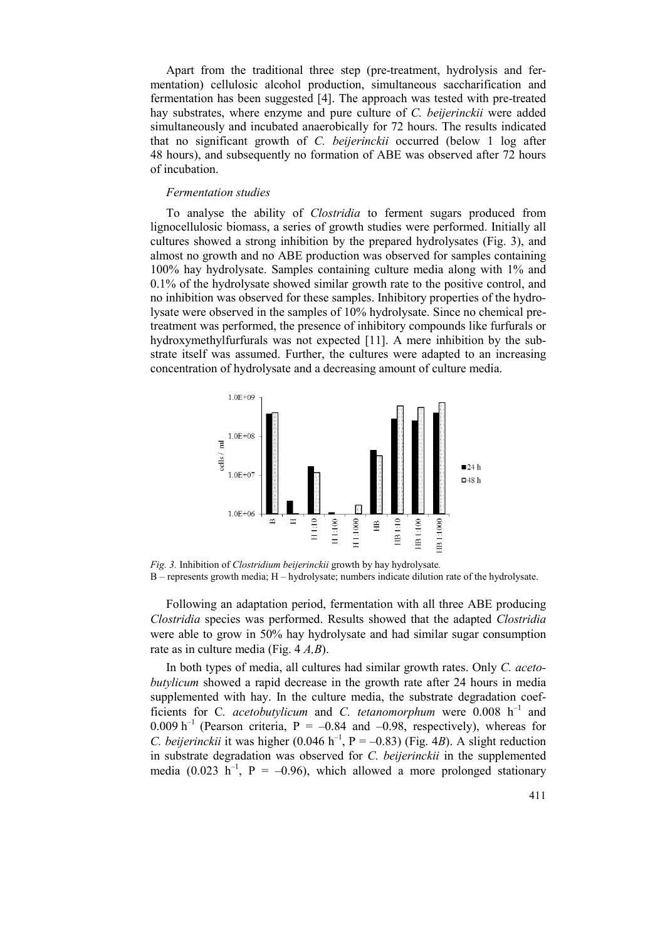Apart from the traditional three step (pre-treatment, hydrolysis and fermentation) cellulosic alcohol production, simultaneous saccharification and fermentation has been suggested [4]. The approach was tested with pre-treated hay substrates, where enzyme and pure culture of *C. beijerinckii* were added simultaneously and incubated anaerobically for 72 hours. The results indicated that no significant growth of *C. beijerinckii* occurred (below 1 log after 48 hours), and subsequently no formation of ABE was observed after 72 hours of incubation.

# *Fermentation studies*

To analyse the ability of *Clostridia* to ferment sugars produced from lignocellulosic biomass, a series of growth studies were performed. Initially all cultures showed a strong inhibition by the prepared hydrolysates (Fig. 3), and almost no growth and no ABE production was observed for samples containing 100% hay hydrolysate. Samples containing culture media along with 1% and 0.1% of the hydrolysate showed similar growth rate to the positive control, and no inhibition was observed for these samples. Inhibitory properties of the hydrolysate were observed in the samples of 10% hydrolysate. Since no chemical pretreatment was performed, the presence of inhibitory compounds like furfurals or hydroxymethylfurfurals was not expected [11]. A mere inhibition by the substrate itself was assumed. Further, the cultures were adapted to an increasing concentration of hydrolysate and a decreasing amount of culture media.



*Fig. 3.* Inhibition of *Clostridium beijerinckii* growth by hay hydrolysate*.*  B – represents growth media; H – hydrolysate; numbers indicate dilution rate of the hydrolysate.

Following an adaptation period, fermentation with all three ABE producing *Clostridia* species was performed. Results showed that the adapted *Clostridia*  were able to grow in 50% hay hydrolysate and had similar sugar consumption rate as in culture media (Fig. 4 *A,B*).

In both types of media, all cultures had similar growth rates. Only *C. acetobutylicum* showed a rapid decrease in the growth rate after 24 hours in media supplemented with hay. In the culture media, the substrate degradation coefficients for C. acetobutylicum and C. tetanomorphum were  $0.008$  h<sup>-1</sup> and 0.009 h<sup>-1</sup> (Pearson criteria, P = -0.84 and -0.98, respectively), whereas for *C. beijerinckii* it was higher (0.046 h<sup>-1</sup>, P = -0.83) (Fig. 4*B*). A slight reduction in substrate degradation was observed for *C. beijerinckii* in the supplemented media (0.023 h<sup>-1</sup>, P = -0.96), which allowed a more prolonged stationary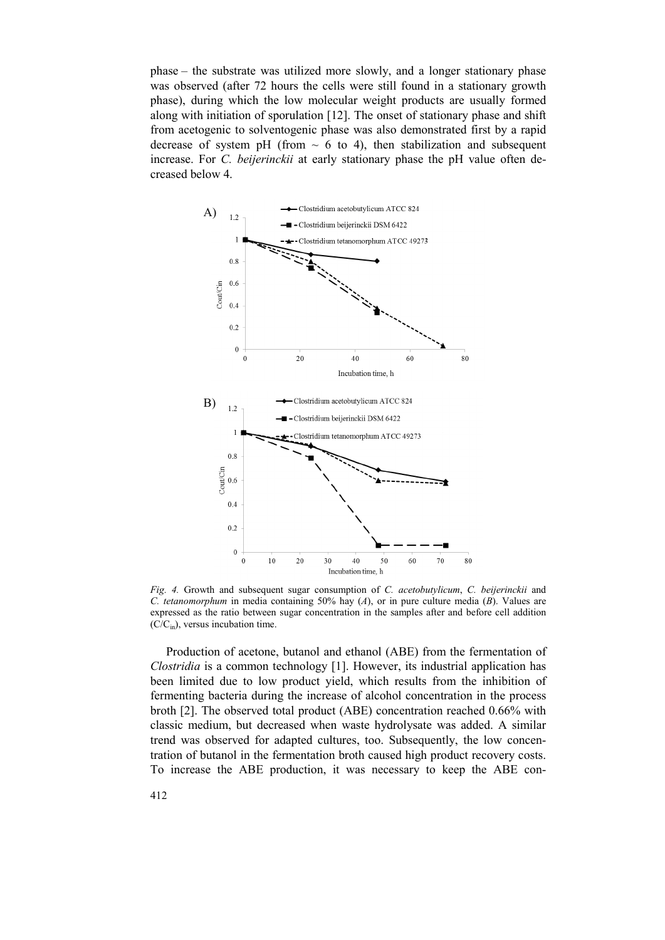phase – the substrate was utilized more slowly, and a longer stationary phase was observed (after 72 hours the cells were still found in a stationary growth phase), during which the low molecular weight products are usually formed along with initiation of sporulation [12]. The onset of stationary phase and shift from acetogenic to solventogenic phase was also demonstrated first by a rapid decrease of system pH (from  $\sim$  6 to 4), then stabilization and subsequent increase. For *C. beijerinckii* at early stationary phase the pH value often decreased below 4.



*Fig. 4.* Growth and subsequent sugar consumption of *C. acetobutylicum*, *C. beijerinckii* and *C. tetanomorphum* in media containing 50% hay (*A*), or in pure culture media (*B*). Values are expressed as the ratio between sugar concentration in the samples after and before cell addition  $(C/C<sub>in</sub>)$ , versus incubation time.

Production of acetone, butanol and ethanol (ABE) from the fermentation of *Clostridia* is a common technology [1]. However, its industrial application has been limited due to low product yield, which results from the inhibition of fermenting bacteria during the increase of alcohol concentration in the process broth [2]. The observed total product (ABE) concentration reached 0.66% with classic medium, but decreased when waste hydrolysate was added. A similar trend was observed for adapted cultures, too. Subsequently, the low concentration of butanol in the fermentation broth caused high product recovery costs. To increase the ABE production, it was necessary to keep the ABE con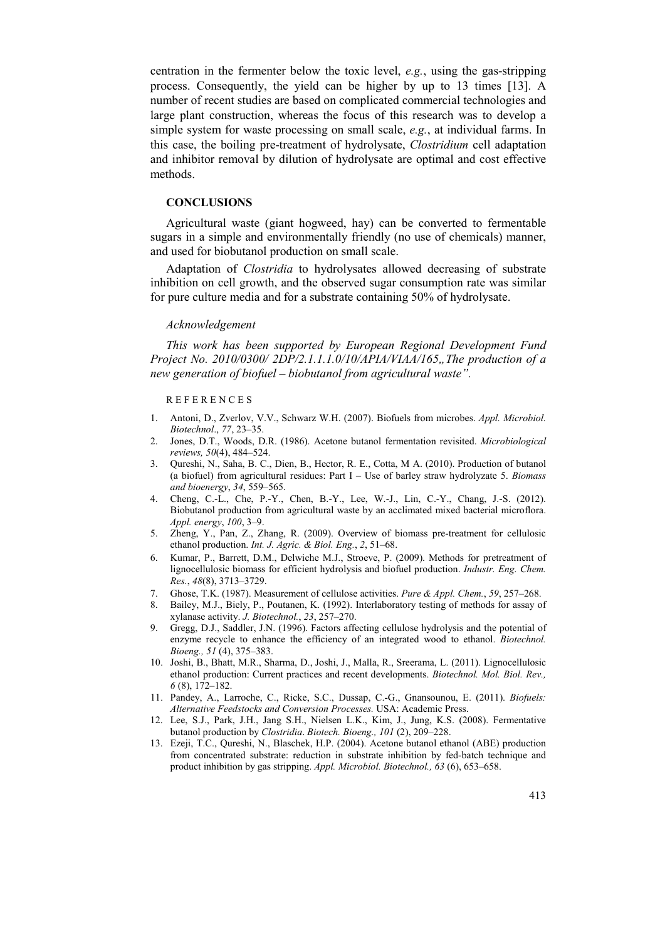centration in the fermenter below the toxic level, *e.g.*, using the gas-stripping process. Consequently, the yield can be higher by up to 13 times [13]. A number of recent studies are based on complicated commercial technologies and large plant construction, whereas the focus of this research was to develop a simple system for waste processing on small scale, *e.g.*, at individual farms. In this case, the boiling pre-treatment of hydrolysate, *Clostridium* cell adaptation and inhibitor removal by dilution of hydrolysate are optimal and cost effective methods.

# **CONCLUSIONS**

Agricultural waste (giant hogweed, hay) can be converted to fermentable sugars in a simple and environmentally friendly (no use of chemicals) manner, and used for biobutanol production on small scale.

Adaptation of *Clostridia* to hydrolysates allowed decreasing of substrate inhibition on cell growth, and the observed sugar consumption rate was similar for pure culture media and for a substrate containing 50% of hydrolysate.

#### *Acknowledgement*

*This work has been supported by European Regional Development Fund Project No. 2010/0300/ 2DP/2.1.1.1.0/10/APIA/VIAA/165, The production of a new generation of biofuel* – *biobutanol from agricultural waste".*

#### **REFERENCES**

- 1. Antoni, D., Zverlov, V.V., Schwarz W.H. (2007). Biofuels from microbes. *Appl. Microbiol. Biotechnol*., *77*, 23–35.
- 2. Jones, D.T., Woods, D.R. (1986). Acetone butanol fermentation revisited. *Microbiological reviews, 50*(4), 484–524.
- 3. Qureshi, N., Saha, B. C., Dien, B., Hector, R. E., Cotta, M A. (2010). Production of butanol (a biofuel) from agricultural residues: Part I – Use of barley straw hydrolyzate 5. *Biomass and bioenergy*, *34*, 559–565.
- 4. Cheng, C.-L., Che, P.-Y., Chen, B.-Y., Lee, W.-J., Lin, C.-Y., Chang, J.-S. (2012). Biobutanol production from agricultural waste by an acclimated mixed bacterial microflora. *Appl. energy*, *100*, 3–9.
- 5. Zheng, Y., Pan, Z., Zhang, R. (2009). Overview of biomass pre-treatment for cellulosic ethanol production. *Int. J. Agric. & Biol. Eng.*, *2*, 51–68.
- 6. Kumar, P., Barrett, D.M., Delwiche M.J., Stroeve, P. (2009). Methods for pretreatment of lignocellulosic biomass for efficient hydrolysis and biofuel production. *Industr. Eng. Chem. Res.*, *48*(8), 3713–3729.
- 7. Ghose, T.K. (1987). Measurement of cellulose activities. *Pure & Appl. Chem.*, *59*, 257–268.
- 8. Bailey, M.J., Biely, P., Poutanen, K. (1992). Interlaboratory testing of methods for assay of xylanase activity. *J. Biotechnol.*, *23*, 257–270.
- 9. Gregg, D.J., Saddler, J.N. (1996). Factors affecting cellulose hydrolysis and the potential of enzyme recycle to enhance the efficiency of an integrated wood to ethanol. *Biotechnol. Bioeng., 51* (4), 375–383.
- 10. Joshi, B., Bhatt, M.R., Sharma, D., Joshi, J., Malla, R., Sreerama, L. (2011). Lignocellulosic ethanol production: Current practices and recent developments. *Biotechnol. Mol. Biol. Rev., 6* (8), 172–182.
- 11. Pandey, A., Larroche, C., Ricke, S.C., Dussap, C.-G., Gnansounou, E. (2011). *Biofuels: Alternative Feedstocks and Conversion Processes.* USA: Academic Press.
- 12. Lee, S.J., Park, J.H., Jang S.H., Nielsen L.K., Kim, J., Jung, K.S. (2008). Fermentative butanol production by *Clostridia*. *Biotech. Bioeng., 101* (2), 209–228.
- 13. Ezeji, T.C., Qureshi, N., Blaschek, H.P. (2004). Acetone butanol ethanol (ABE) production from concentrated substrate: reduction in substrate inhibition by fed-batch technique and product inhibition by gas stripping. *Appl. Microbiol. Biotechnol., 63* (6), 653–658.